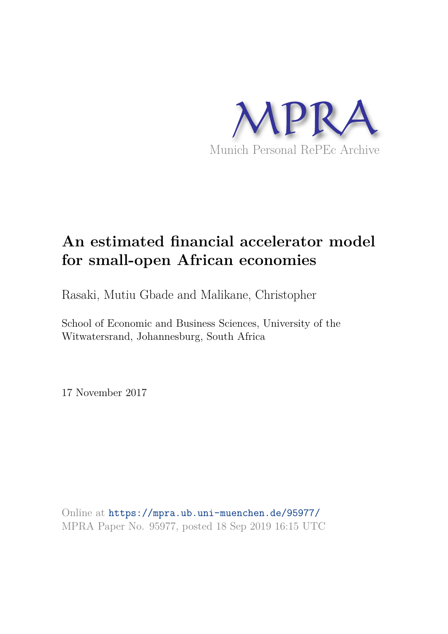

# **An estimated financial accelerator model for small-open African economies**

Rasaki, Mutiu Gbade and Malikane, Christopher

School of Economic and Business Sciences, University of the Witwatersrand, Johannesburg, South Africa

17 November 2017

Online at https://mpra.ub.uni-muenchen.de/95977/ MPRA Paper No. 95977, posted 18 Sep 2019 16:15 UTC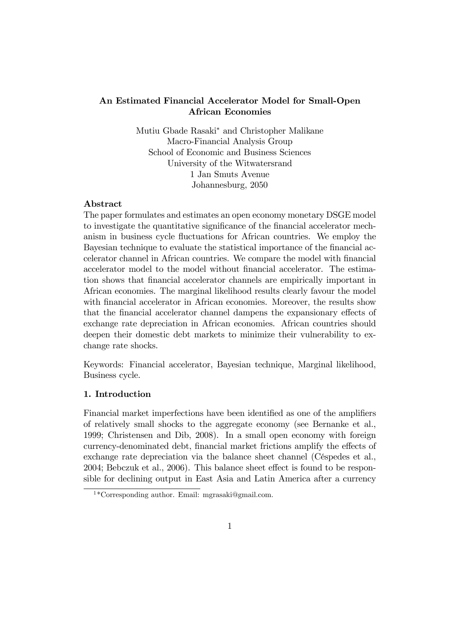# An Estimated Financial Accelerator Model for Small-Open African Economies

Mutiu Gbade Rasaki<sup>\*</sup> and Christopher Malikane Macro-Financial Analysis Group School of Economic and Business Sciences University of the Witwatersrand 1 Jan Smuts Avenue Johannesburg, 2050

## Abstract

The paper formulates and estimates an open economy monetary DSGE model to investigate the quantitative significance of the financial accelerator mechanism in business cycle fluctuations for African countries. We employ the Bayesian technique to evaluate the statistical importance of the financial accelerator channel in African countries. We compare the model with financial accelerator model to the model without financial accelerator. The estimation shows that Önancial accelerator channels are empirically important in African economies. The marginal likelihood results clearly favour the model with financial accelerator in African economies. Moreover, the results show that the financial accelerator channel dampens the expansionary effects of exchange rate depreciation in African economies. African countries should deepen their domestic debt markets to minimize their vulnerability to exchange rate shocks.

Keywords: Financial accelerator, Bayesian technique, Marginal likelihood, Business cycle.

## 1. Introduction

Financial market imperfections have been identified as one of the amplifiers of relatively small shocks to the aggregate economy (see Bernanke et al., 1999; Christensen and Dib, 2008). In a small open economy with foreign currency-denominated debt, financial market frictions amplify the effects of exchange rate depreciation via the balance sheet channel (Céspedes et al.,  $2004$ ; Bebczuk et al.,  $2006$ ). This balance sheet effect is found to be responsible for declining output in East Asia and Latin America after a currency

 $1*Corresponding author. Email: mgrasaki@gmail.com.$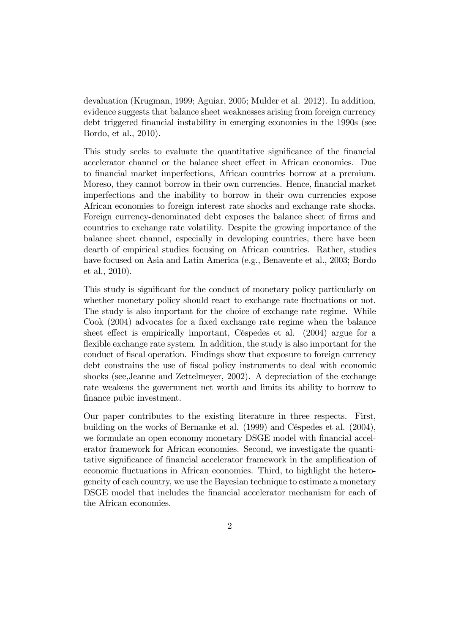devaluation (Krugman, 1999; Aguiar, 2005; Mulder et al. 2012). In addition, evidence suggests that balance sheet weaknesses arising from foreign currency debt triggered financial instability in emerging economies in the 1990s (see Bordo, et al., 2010).

This study seeks to evaluate the quantitative significance of the financial accelerator channel or the balance sheet effect in African economies. Due to financial market imperfections, African countries borrow at a premium. Moreso, they cannot borrow in their own currencies. Hence, financial market imperfections and the inability to borrow in their own currencies expose African economies to foreign interest rate shocks and exchange rate shocks. Foreign currency-denominated debt exposes the balance sheet of firms and countries to exchange rate volatility. Despite the growing importance of the balance sheet channel, especially in developing countries, there have been dearth of empirical studies focusing on African countries. Rather, studies have focused on Asia and Latin America (e.g., Benavente et al., 2003; Bordo et al., 2010).

This study is significant for the conduct of monetary policy particularly on whether monetary policy should react to exchange rate fluctuations or not. The study is also important for the choice of exchange rate regime. While Cook (2004) advocates for a fixed exchange rate regime when the balance sheet effect is empirically important, Céspedes et al. (2004) argue for a flexible exchange rate system. In addition, the study is also important for the conduct of Öscal operation. Findings show that exposure to foreign currency debt constrains the use of fiscal policy instruments to deal with economic shocks (see,Jeanne and Zettelmeyer, 2002). A depreciation of the exchange rate weakens the government net worth and limits its ability to borrow to finance pubic investment.

Our paper contributes to the existing literature in three respects. First, building on the works of Bernanke et al. (1999) and Céspedes et al. (2004), we formulate an open economy monetary DSGE model with financial accelerator framework for African economies. Second, we investigate the quantitative significance of financial accelerator framework in the amplification of economic fluctuations in African economies. Third, to highlight the heterogeneity of each country, we use the Bayesian technique to estimate a monetary DSGE model that includes the financial accelerator mechanism for each of the African economies.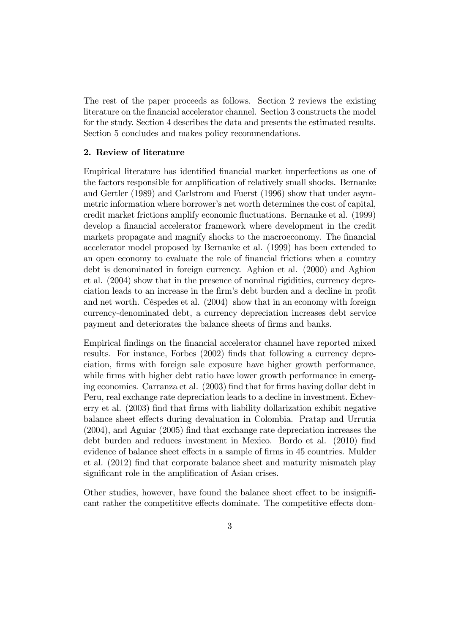The rest of the paper proceeds as follows. Section 2 reviews the existing literature on the Önancial accelerator channel. Section 3 constructs the model for the study. Section 4 describes the data and presents the estimated results. Section 5 concludes and makes policy recommendations.

## 2. Review of literature

Empirical literature has identified financial market imperfections as one of the factors responsible for amplification of relatively small shocks. Bernanke and Gertler (1989) and Carlstrom and Fuerst (1996) show that under asymmetric information where borrower's net worth determines the cost of capital, credit market frictions amplify economic fluctuations. Bernanke et al. (1999) develop a financial accelerator framework where development in the credit markets propagate and magnify shocks to the macroeconomy. The financial accelerator model proposed by Bernanke et al. (1999) has been extended to an open economy to evaluate the role of financial frictions when a country debt is denominated in foreign currency. Aghion et al. (2000) and Aghion et al. (2004) show that in the presence of nominal rigidities, currency depreciation leads to an increase in the firm's debt burden and a decline in profit and net worth. CÈspedes et al. (2004) show that in an economy with foreign currency-denominated debt, a currency depreciation increases debt service payment and deteriorates the balance sheets of firms and banks.

Empirical Öndings on the Önancial accelerator channel have reported mixed results. For instance, Forbes (2002) finds that following a currency depreciation, Örms with foreign sale exposure have higher growth performance, while firms with higher debt ratio have lower growth performance in emerging economies. Carranza et al. (2003) find that for firms having dollar debt in Peru, real exchange rate depreciation leads to a decline in investment. Echeverry et al. (2003) find that firms with liability dollarization exhibit negative balance sheet effects during devaluation in Colombia. Pratap and Urrutia (2004), and Aguiar (2005) Önd that exchange rate depreciation increases the debt burden and reduces investment in Mexico. Bordo et al. (2010) find evidence of balance sheet effects in a sample of firms in 45 countries. Mulder et al. (2012) find that corporate balance sheet and maturity mismatch play significant role in the amplification of Asian crises.

Other studies, however, have found the balance sheet effect to be insignificant rather the competitive effects dominate. The competitive effects dom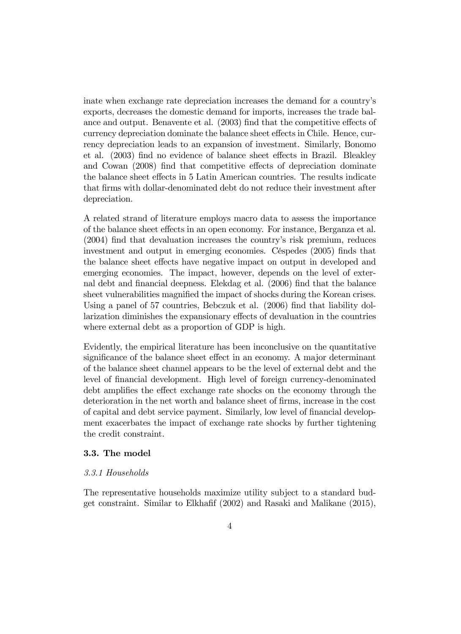inate when exchange rate depreciation increases the demand for a countryís exports, decreases the domestic demand for imports, increases the trade balance and output. Benavente et al.  $(2003)$  find that the competitive effects of currency depreciation dominate the balance sheet effects in Chile. Hence, currency depreciation leads to an expansion of investment. Similarly, Bonomo et al. (2003) find no evidence of balance sheet effects in Brazil. Bleakley and Cowan (2008) find that competitive effects of depreciation dominate the balance sheet effects in 5 Latin American countries. The results indicate that Örms with dollar-denominated debt do not reduce their investment after depreciation.

A related strand of literature employs macro data to assess the importance of the balance sheet effects in an open economy. For instance, Berganza et al.  $(2004)$  find that devaluation increases the country's risk premium, reduces investment and output in emerging economies. Céspedes (2005) finds that the balance sheet effects have negative impact on output in developed and emerging economies. The impact, however, depends on the level of external debt and financial deepness. Elekdag et al. (2006) find that the balance sheet vulnerabilities magnified the impact of shocks during the Korean crises. Using a panel of 57 countries, Bebczuk et al. (2006) find that liability dolarization diminishes the expansionary effects of devaluation in the countries where external debt as a proportion of GDP is high.

Evidently, the empirical literature has been inconclusive on the quantitative significance of the balance sheet effect in an economy. A major determinant of the balance sheet channel appears to be the level of external debt and the level of Önancial development. High level of foreign currency-denominated debt amplifies the effect exchange rate shocks on the economy through the deterioration in the net worth and balance sheet of firms, increase in the cost of capital and debt service payment. Similarly, low level of financial development exacerbates the impact of exchange rate shocks by further tightening the credit constraint.

#### 3.3. The model

#### 3.3.1 Households

The representative households maximize utility subject to a standard budget constraint. Similar to Elkhafif  $(2002)$  and Rasaki and Malikane  $(2015)$ ,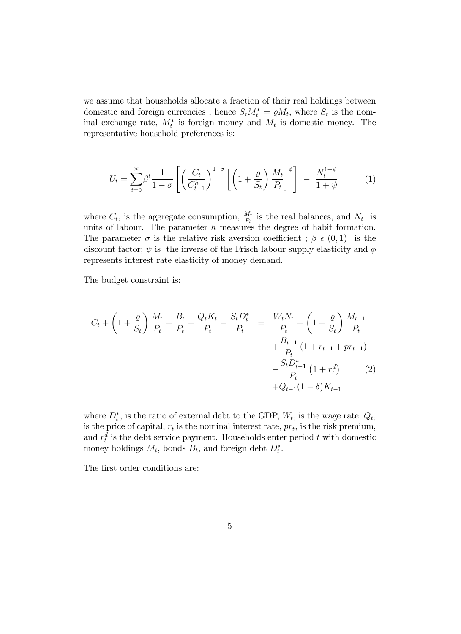we assume that households allocate a fraction of their real holdings between domestic and foreign currencies, hence  $S_t M_t^* = \rho M_t$ , where  $S_t$  is the nominal exchange rate,  $M_t^*$  is foreign money and  $M_t$  is domestic money. The representative household preferences is:

$$
U_t = \sum_{t=0}^{\infty} \beta^t \frac{1}{1-\sigma} \left[ \left( \frac{C_t}{C_{t-1}^h} \right)^{1-\sigma} \left[ \left( 1 + \frac{\varrho}{S_t} \right) \frac{M_t}{P_t} \right]^{\phi} \right] - \frac{N_t^{1+\psi}}{1+\psi}
$$
 (1)

where  $C_t$ , is the aggregate consumption,  $\frac{M_t}{P_t}$  is the real balances, and  $N_t$  is units of labour. The parameter  $h$  measures the degree of habit formation. The parameter  $\sigma$  is the relative risk aversion coefficient ;  $\beta \in (0,1)$  is the discount factor;  $\psi$  is the inverse of the Frisch labour supply elasticity and  $\phi$ represents interest rate elasticity of money demand.

The budget constraint is:

$$
C_{t} + \left(1 + \frac{\varrho}{S_{t}}\right) \frac{M_{t}}{P_{t}} + \frac{B_{t}}{P_{t}} + \frac{Q_{t}K_{t}}{P_{t}} - \frac{S_{t}D_{t}^{*}}{P_{t}} = \frac{W_{t}N_{t}}{P_{t}} + \left(1 + \frac{\varrho}{S_{t}}\right) \frac{M_{t-1}}{P_{t}} + \frac{B_{t-1}}{P_{t}}\left(1 + r_{t-1} + pr_{t-1}\right) - \frac{S_{t}D_{t-1}^{*}}{P_{t}}\left(1 + r_{t}^{d}\right) \qquad (2) + Q_{t-1}(1 - \delta)K_{t-1}
$$

where  $D_t^*$ , is the ratio of external debt to the GDP,  $W_t$ , is the wage rate,  $Q_t$ , is the price of capital,  $r_t$  is the nominal interest rate,  $pr_t$ , is the risk premium, and  $r_t^d$  is the debt service payment. Households enter period t with domestic money holdings  $M_t$ , bonds  $B_t$ , and foreign debt  $D_t^*$ .

The first order conditions are: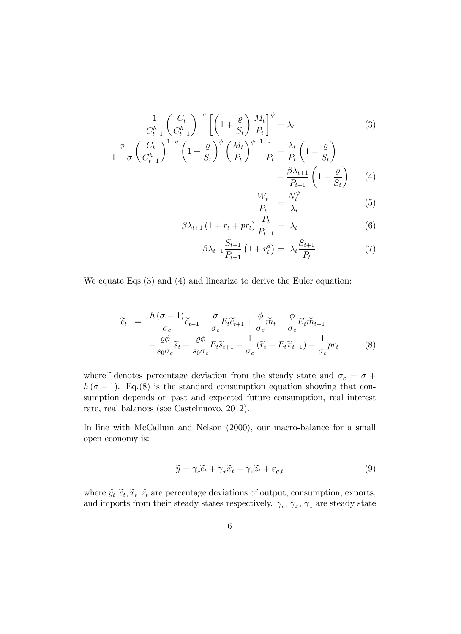$$
\frac{1}{C_{t-1}^h} \left(\frac{C_t}{C_{t-1}^h}\right)^{-\sigma} \left[ \left(1 + \frac{\varrho}{S_t}\right) \frac{M_t}{P_t} \right]^{\phi} = \lambda_t \tag{3}
$$
\n
$$
\frac{\phi}{1-\sigma} \left(\frac{C_t}{C_{t-1}^h}\right)^{1-\sigma} \left(1 + \frac{\varrho}{S_t}\right)^{\phi} \left(\frac{M_t}{P_t}\right)^{\phi-1} \frac{1}{P_t} = \frac{\lambda_t}{P_t} \left(1 + \frac{\varrho}{S_t}\right) \qquad -\frac{\beta \lambda_{t+1}}{P_{t+1}} \left(1 + \frac{\varrho}{S_t}\right) \qquad (4)
$$
\n
$$
\frac{W_t}{P_t} = \frac{N_t^{\psi}}{\lambda_t} \tag{5}
$$

$$
\beta \lambda_{t+1} \left( 1 + r_t + pr_t \right) \frac{P_t}{P_{t+1}} = \lambda_t \tag{6}
$$

$$
\beta \lambda_{t+1} \frac{S_{t+1}}{P_{t+1}} \left( 1 + r_t^d \right) = \lambda_t \frac{S_{t+1}}{P_t} \tag{7}
$$

We equate Eqs. (3) and (4) and linearize to derive the Euler equation:

$$
\widetilde{c}_{t} = \frac{h(\sigma - 1)}{\sigma_{c}} \widetilde{c}_{t-1} + \frac{\sigma}{\sigma_{c}} E_{t} \widetilde{c}_{t+1} + \frac{\phi}{\sigma_{c}} \widetilde{m}_{t} - \frac{\phi}{\sigma_{c}} E_{t} \widetilde{m}_{t+1} \n- \frac{\varrho \phi}{s_{0} \sigma_{c}} \widetilde{s}_{t} + \frac{\varrho \phi}{s_{0} \sigma_{c}} E_{t} \widetilde{s}_{t+1} - \frac{1}{\sigma_{c}} (\widetilde{r}_{t} - E_{t} \widetilde{\pi}_{t+1}) - \frac{1}{\sigma_{c}} pr_{t}
$$
\n(8)

where  $\widetilde{\phantom{a}}$  denotes percentage deviation from the steady state and  $\sigma_c$  =  $\sigma$  +  $h(\sigma-1)$ . Eq.(8) is the standard consumption equation showing that consumption depends on past and expected future consumption, real interest rate, real balances (see Castelnuovo, 2012).

In line with McCallum and Nelson (2000), our macro-balance for a small open economy is:

$$
\widetilde{y} = \gamma_c \widetilde{c}_t + \gamma_x \widetilde{x}_t - \gamma_z \widetilde{z}_t + \varepsilon_{g,t}
$$
\n
$$
(9)
$$

where  $\widetilde{y}_t, \widetilde{c}_t, \widetilde{x}_t, \widetilde{z}_t$  are percentage deviations of output, consumption, exports, and imports from their steady states respectively.  $\gamma_c$ ,  $\gamma_x$ ,  $\gamma_z$  are steady state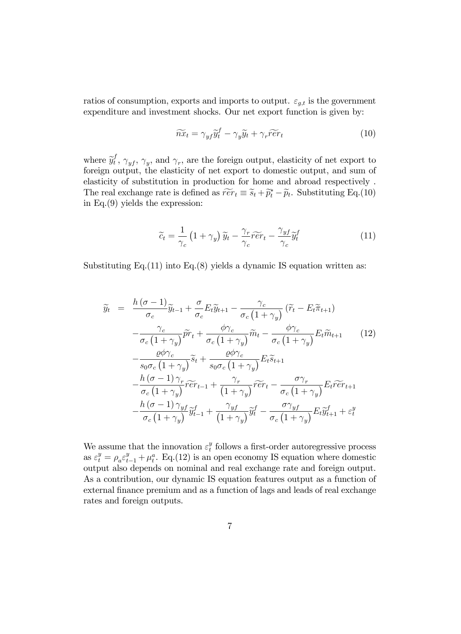ratios of consumption, exports and imports to output.  $\varepsilon_{g,t}$  is the government expenditure and investment shocks. Our net export function is given by:

$$
\widetilde{n}x_t = \gamma_{yf}\widetilde{y}_t^f - \gamma_y\widetilde{y}_t + \gamma_r\widetilde{r}\widetilde{e}r_t
$$
\n(10)

where  $\widetilde{y}_t^f$  $\gamma_t^{\mathcal{J}}, \gamma_{yf}, \gamma_y$ , and  $\gamma_r$ , are the foreign output, elasticity of net export to foreign output, the elasticity of net export to domestic output, and sum of elasticity of substitution in production for home and abroad respectively . The real exchange rate is defined as  $\widetilde{r}\widetilde{e}r_t \equiv \widetilde{s}_t + \widetilde{p}_t^* - \widetilde{p}_t$ . Substituting Eq.(10) in Eq.(9) yields the expression:

$$
\widetilde{c}_t = \frac{1}{\gamma_c} \left( 1 + \gamma_y \right) \widetilde{y}_t - \frac{\gamma_r}{\gamma_c} \widetilde{r} \widetilde{e} r_t - \frac{\gamma_{yf}}{\gamma_c} \widetilde{y}_t^f \tag{11}
$$

Substituting Eq. $(11)$  into Eq. $(8)$  yields a dynamic IS equation written as:

$$
\widetilde{y}_{t} = \frac{h(\sigma - 1)}{\sigma_{c}} \widetilde{y}_{t-1} + \frac{\sigma}{\sigma_{c}} E_{t} \widetilde{y}_{t+1} - \frac{\gamma_{c}}{\sigma_{c} (1 + \gamma_{y})} (\widetilde{r}_{t} - E_{t} \widetilde{\pi}_{t+1}) \n- \frac{\gamma_{c}}{\sigma_{c} (1 + \gamma_{y})} \widetilde{pr}_{t} + \frac{\phi \gamma_{c}}{\sigma_{c} (1 + \gamma_{y})} \widetilde{m}_{t} - \frac{\phi \gamma_{c}}{\sigma_{c} (1 + \gamma_{y})} E_{t} \widetilde{m}_{t+1}
$$
\n
$$
- \frac{\rho \phi \gamma_{c}}{s_{0} \sigma_{c} (1 + \gamma_{y})} \widetilde{s}_{t} + \frac{\rho \phi \gamma_{c}}{s_{0} \sigma_{c} (1 + \gamma_{y})} E_{t} \widetilde{s}_{t+1}
$$
\n
$$
- \frac{h(\sigma - 1) \gamma_{r}}{\sigma_{c} (1 + \gamma_{y})} \widetilde{r} \widetilde{e} r_{t-1} + \frac{\gamma_{r}}{(1 + \gamma_{y})} \widetilde{r} \widetilde{e} r_{t} - \frac{\sigma \gamma_{r}}{\sigma_{c} (1 + \gamma_{y})} E_{t} \widetilde{r} \widetilde{e} r_{t+1}
$$
\n
$$
- \frac{h(\sigma - 1) \gamma_{yf}}{\sigma_{c} (1 + \gamma_{y})} \widetilde{y}_{t-1}^{f} + \frac{\gamma_{yf}}{(1 + \gamma_{y})} \widetilde{y}_{t}^{f} - \frac{\sigma \gamma_{yf}}{\sigma_{c} (1 + \gamma_{y})} E_{t} \widetilde{y}_{t+1}^{f} + \varepsilon_{t}^{y}
$$

We assume that the innovation  $\varepsilon_t^y$  $t<sub>t</sub><sup>y</sup>$  follows a first-order autoregressive process as  $\varepsilon_t^y = \rho_a \varepsilon_{t-1}^y + \mu_t^a$ . Eq.(12) is an open economy IS equation where domestic output also depends on nominal and real exchange rate and foreign output. As a contribution, our dynamic IS equation features output as a function of external finance premium and as a function of lags and leads of real exchange rates and foreign outputs.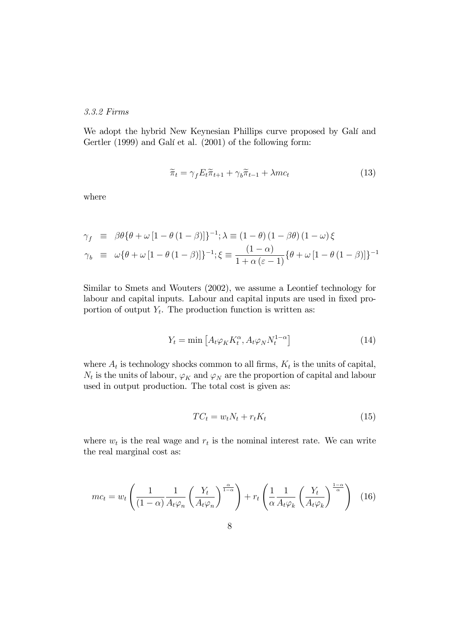#### 3.3.2 Firms

We adopt the hybrid New Keynesian Phillips curve proposed by Galí and Gertler (1999) and Galí et al. (2001) of the following form:

$$
\widetilde{\pi}_t = \gamma_f E_t \widetilde{\pi}_{t+1} + \gamma_b \widetilde{\pi}_{t-1} + \lambda mc_t \tag{13}
$$

where

$$
\gamma_f \equiv \beta \theta \{ \theta + \omega \left[ 1 - \theta \left( 1 - \beta \right) \right] \}^{-1}; \lambda \equiv (1 - \theta) \left( 1 - \beta \theta \right) \left( 1 - \omega \right) \xi
$$
  

$$
\gamma_b \equiv \omega \{ \theta + \omega \left[ 1 - \theta \left( 1 - \beta \right) \right] \}^{-1}; \xi \equiv \frac{\left( 1 - \alpha \right)}{1 + \alpha \left( \varepsilon - 1 \right)} \{ \theta + \omega \left[ 1 - \theta \left( 1 - \beta \right) \right] \}^{-1}
$$

Similar to Smets and Wouters (2002), we assume a Leontief technology for labour and capital inputs. Labour and capital inputs are used in fixed proportion of output  $Y_t$ . The production function is written as:

$$
Y_t = \min\left[A_t \varphi_K K_t^{\alpha}, A_t \varphi_N N_t^{1-\alpha}\right]
$$
\n(14)

where  $A_t$  is technology shocks common to all firms,  $K_t$  is the units of capital,  $N_t$  is the units of labour,  $\varphi_K$  and  $\varphi_N$  are the proportion of capital and labour used in output production. The total cost is given as:

$$
TC_t = w_t N_t + r_t K_t \tag{15}
$$

where  $w_t$  is the real wage and  $r_t$  is the nominal interest rate. We can write the real marginal cost as:

$$
mc_t = w_t \left( \frac{1}{(1-\alpha)} \frac{1}{A_t \varphi_n} \left( \frac{Y_t}{A_t \varphi_n} \right)^{\frac{\alpha}{1-\alpha}} \right) + r_t \left( \frac{1}{\alpha} \frac{1}{A_t \varphi_k} \left( \frac{Y_t}{A_t \varphi_k} \right)^{\frac{1-\alpha}{\alpha}} \right) \tag{16}
$$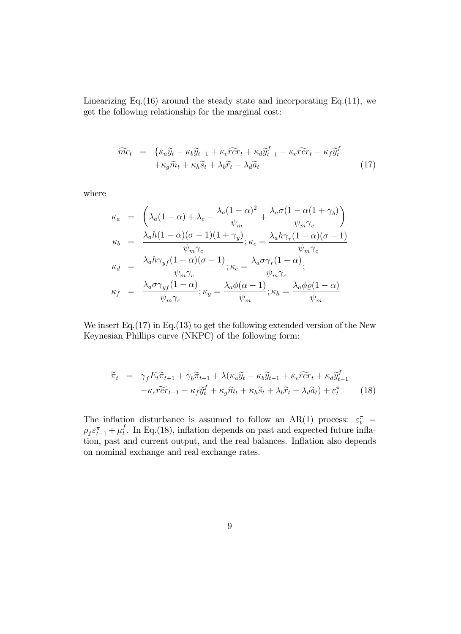Linearizing Eq.(16) around the steady state and incorporating Eq.(11), we get the following relationship for the marginal cost:

$$
\widetilde{mc}_t = \{ \kappa_a \widetilde{y}_t - \kappa_b \widetilde{y}_{t-1} + \kappa_c \widetilde{r} \widetilde{e} r_t + \kappa_d \widetilde{y}_{t-1}^f - \kappa_e \widetilde{r} \widetilde{e} r_t - \kappa_f \widetilde{y}_t^f + \kappa_g \widetilde{m}_t + \kappa_h \widetilde{s}_t + \lambda_b \widetilde{r}_t - \lambda_d \widetilde{a}_t \}
$$
\n(17)

where

$$
\kappa_a = \left( \lambda_a (1 - \alpha) + \lambda_c - \frac{\lambda_a (1 - \alpha)^2}{\psi_m} + \frac{\lambda_a \sigma (1 - \alpha (1 + \gamma_b))}{\psi_m \gamma_c} \right)
$$
  
\n
$$
\kappa_b = \frac{\lambda_a h (1 - \alpha)(\sigma - 1)(1 + \gamma_y)}{\psi_m \gamma_c}; \kappa_c = \frac{\lambda_a h \gamma_r (1 - \alpha)(\sigma - 1)}{\psi_m \gamma_c}
$$
  
\n
$$
\kappa_d = \frac{\lambda_a h \gamma_{yf} (1 - \alpha)(\sigma - 1)}{\psi_m \gamma_c}; \kappa_e = \frac{\lambda_a \sigma \gamma_r (1 - \alpha)}{\psi_m \gamma_c};
$$
  
\n
$$
\kappa_f = \frac{\lambda_a \sigma \gamma_{yf} (1 - \alpha)}{\psi_m \gamma_c}; \kappa_g = \frac{\lambda_a \phi (\alpha - 1)}{\psi_m}; \kappa_h = \frac{\lambda_a \phi \rho (1 - \alpha)}{\psi_m}
$$

We insert Eq.  $(17)$  in Eq.  $(13)$  to get the following extended version of the New Keynesian Phillips curve (NKPC) of the following form:

$$
\widetilde{\pi}_t = \gamma_f E_t \widetilde{\pi}_{t+1} + \gamma_b \widetilde{\pi}_{t-1} + \lambda (\kappa_a \widetilde{y}_t - \kappa_b \widetilde{y}_{t-1} + \kappa_c \widetilde{r} \widetilde{e} r_t + \kappa_d \widetilde{y}_{t-1}^f \n- \kappa_e \widetilde{r} \widetilde{e} r_{t-1} - \kappa_f \widetilde{y}_t^f + \kappa_g \widetilde{m}_t + \kappa_h \widetilde{s}_t + \lambda_b \widetilde{r}_t - \lambda_d \widetilde{a}_t) + \varepsilon_t^\pi
$$
\n(18)

The inflation disturbance is assumed to follow an AR(1) process:  $\varepsilon_t^{\pi}$  =  $\rho_f \varepsilon_{t-1}^{\pi} + \mu_t^f$  $_t^I$ . In Eq.(18), inflation depends on past and expected future inflation, past and current output, and the real balances. Inflation also depends on nominal exchange and real exchange rates.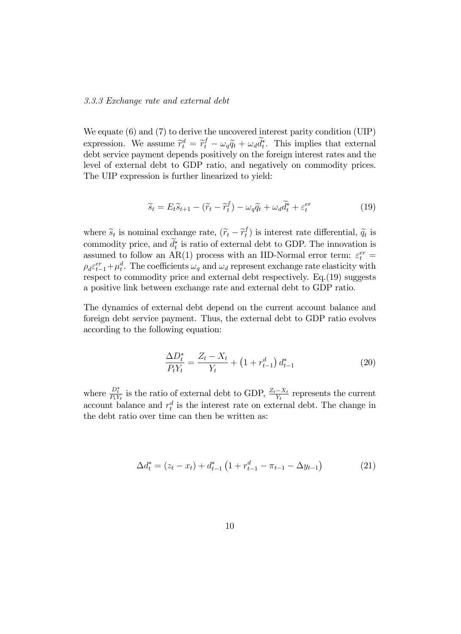#### 3.3.3 Exchange rate and external debt

We equate (6) and (7) to derive the uncovered interest parity condition (UIP) expression. We assume  $\tilde{r}_t^d = \tilde{r}_t^f - \omega_q \tilde{q}_t + \omega_d \tilde{d}_t^*$ . This implies that external debt service payment depends positively on the foreign interest rates and the level of external debt to GDP ratio, and negatively on commodity prices. The UIP expression is further linearized to yield:

$$
\widetilde{s}_t = E_t \widetilde{s}_{t+1} - (\widetilde{r}_t - \widetilde{r}_t^f) - \omega_q \widetilde{q}_t + \omega_d \widetilde{d}_t^* + \varepsilon_t^{er} \tag{19}
$$

where  $\widetilde{s}_t$  is nominal exchange rate,  $(\widetilde{r}_t - \widetilde{r}_t^f)$  $\widetilde{q}_t$ ) is interest rate differential,  $\widetilde{q}_t$  is commodity price, and  $\widetilde{d}_t^*$  is ratio of external debt to GDP. The innovation is assumed to follow an AR(1) process with an IID-Normal error term:  $\varepsilon_t^{er}$  =  $\rho_d \varepsilon_{t-1}^{er} + \mu_t^d$ . The coefficients  $\omega_q$  and  $\omega_d$  represent exchange rate elasticity with respect to commodity price and external debt respectively. Eq.(19) suggests a positive link between exchange rate and external debt to GDP ratio.

The dynamics of external debt depend on the current account balance and foreign debt service payment. Thus, the external debt to GDP ratio evolves according to the following equation:

$$
\frac{\Delta D_t^*}{P_t Y_t} = \frac{Z_t - X_t}{Y_t} + \left(1 + r_{t-1}^d\right) d_{t-1}^* \tag{20}
$$

where  $\frac{D_t^*}{P_t Y_t}$  is the ratio of external debt to GDP,  $\frac{Z_t - X_t}{Y_t}$  represents the current account balance and  $r_t^d$  is the interest rate on external debt. The change in the debt ratio over time can then be written as:

$$
\Delta d_t^* = (z_t - x_t) + d_{t-1}^* \left( 1 + r_{t-1}^d - \pi_{t-1} - \Delta y_{t-1} \right)
$$
(21)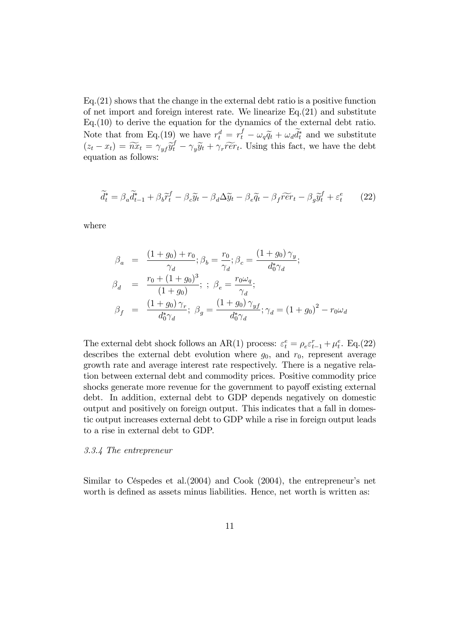Eq.(21) shows that the change in the external debt ratio is a positive function of net import and foreign interest rate. We linearize  $Eq.(21)$  and substitute Eq.(10) to derive the equation for the dynamics of the external debt ratio. Note that from Eq.(19) we have  $r_t^d = r_t^f - \omega_q \tilde{q}_t + \omega_d \tilde{d}_t^*$  and we substitute  $(z_t - x_t) = \widetilde{n} \widetilde{x}_t = \gamma_{yf} \widetilde{y}_t^f - \gamma_y \widetilde{y}_t + \gamma_r \widetilde{r} \widetilde{e} r_t$ . Using this fact, we have the debt equation as follows:

$$
\widetilde{d}_t^* = \beta_a \widetilde{d}_{t-1}^* + \beta_b \widetilde{r}_t^f - \beta_c \widetilde{y}_t - \beta_d \Delta \widetilde{y}_t - \beta_e \widetilde{q}_t - \beta_f \widetilde{r} \widetilde{e} r_t - \beta_g \widetilde{y}_t^f + \varepsilon_t^e \tag{22}
$$

where

$$
\beta_a = \frac{(1+g_0) + r_0}{\gamma_d}; \beta_b = \frac{r_0}{\gamma_d}; \beta_c = \frac{(1+g_0)\gamma_y}{d_0^*\gamma_d};
$$
  
\n
$$
\beta_d = \frac{r_0 + (1+g_0)^3}{(1+g_0)}; \beta_e = \frac{r_0\omega_q}{\gamma_d};
$$
  
\n
$$
\beta_f = \frac{(1+g_0)\gamma_r}{d_0^*\gamma_d}; \beta_g = \frac{(1+g_0)\gamma_{yf}}{d_0^*\gamma_d}; \gamma_d = (1+g_0)^2 - r_0\omega_d
$$

The external debt shock follows an AR(1) process:  $\varepsilon_t^e = \rho_e \varepsilon_{t-1}^r + \mu_t^e$ . Eq.(22) describes the external debt evolution where  $g_0$ , and  $r_0$ , represent average growth rate and average interest rate respectively. There is a negative relation between external debt and commodity prices. Positive commodity price shocks generate more revenue for the government to payoff existing external debt. In addition, external debt to GDP depends negatively on domestic output and positively on foreign output. This indicates that a fall in domestic output increases external debt to GDP while a rise in foreign output leads to a rise in external debt to GDP.

#### 3.3.4 The entrepreneur

Similar to Céspedes et al. $(2004)$  and Cook  $(2004)$ , the entrepreneur's net worth is defined as assets minus liabilities. Hence, net worth is written as: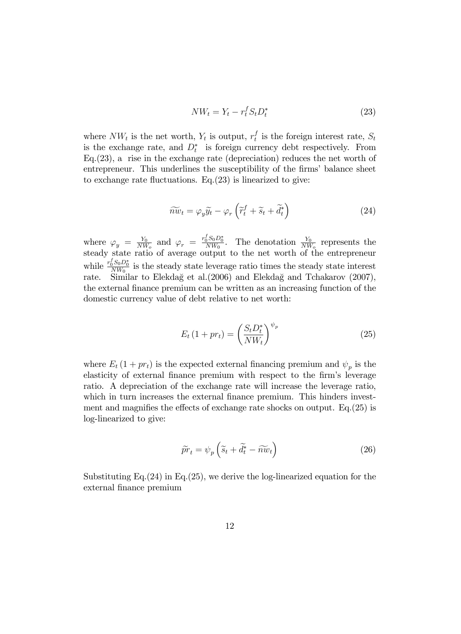$$
NW_t = Y_t - r_t^f S_t D_t^*
$$
\n<sup>(23)</sup>

where  $NW_t$  is the net worth,  $Y_t$  is output,  $r_t^f$  $_t^t$  is the foreign interest rate,  $S_t$ is the exchange rate, and  $D_t^*$  is foreign currency debt respectively. From Eq.(23), a rise in the exchange rate (depreciation) reduces the net worth of entrepreneur. This underlines the susceptibility of the firms' balance sheet to exchange rate fluctuations. Eq. $(23)$  is linearized to give:

$$
\widetilde{n\omega}_t = \varphi_y \widetilde{y}_t - \varphi_r \left( \widetilde{r}_t^f + \widetilde{s}_t + \widetilde{d}_t^* \right) \tag{24}
$$

where  $\varphi_y = \frac{Y_0}{NW}$  $\frac{Y_0}{NW_o}$  and  $\varphi_r = \frac{r_0^f S_0 D_0^*}{NW_0}$ . The denotation  $\frac{Y_0}{NW_o}$  represents the steady state ratio of average output to the net worth of the entrepreneur while  $\frac{r_0^f S_0 D_0^*}{NW_0}$  is the steady state leverage ratio times the steady state interest rate. Similar to Elekdağ et al.(2006) and Elekdağ and Tchakarov (2007), the external Önance premium can be written as an increasing function of the domestic currency value of debt relative to net worth:

$$
E_t \left( 1 + pr_t \right) = \left( \frac{S_t D_t^*}{NW_t} \right)^{\psi_p} \tag{25}
$$

where  $E_t(1+pr_t)$  is the expected external financing premium and  $\psi_p$  is the elasticity of external finance premium with respect to the firm's leverage ratio. A depreciation of the exchange rate will increase the leverage ratio, which in turn increases the external finance premium. This hinders investment and magnifies the effects of exchange rate shocks on output. Eq.  $(25)$  is log-linearized to give:

$$
\widetilde{pr}_t = \psi_p \left( \widetilde{s}_t + \widetilde{d}_t^* - \widetilde{n w}_t \right) \tag{26}
$$

Substituting Eq.(24) in Eq.(25), we derive the log-linearized equation for the external finance premium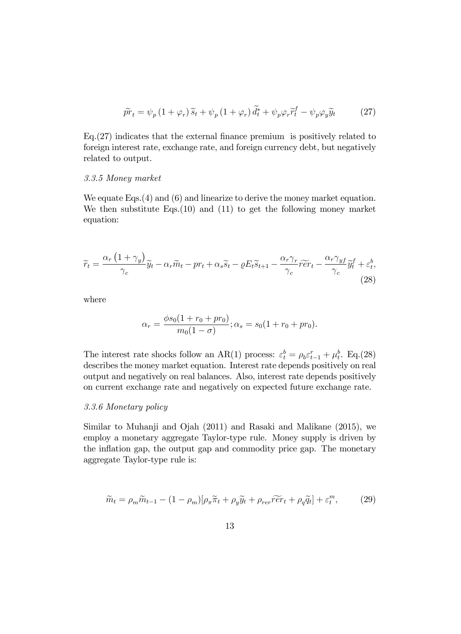$$
\widetilde{pr}_t = \psi_p \left( 1 + \varphi_r \right) \widetilde{s}_t + \psi_p \left( 1 + \varphi_r \right) \widetilde{d}_t^* + \psi_p \varphi_r \widetilde{r}_t^f - \psi_p \varphi_y \widetilde{y}_t \tag{27}
$$

 $Eq. (27)$  indicates that the external finance premium is positively related to foreign interest rate, exchange rate, and foreign currency debt, but negatively related to output.

#### 3.3.5 Money market

We equate Eqs. (4) and (6) and linearize to derive the money market equation. We then substitute Eqs.(10) and (11) to get the following money market equation:

$$
\widetilde{r}_t = \frac{\alpha_r (1 + \gamma_y)}{\gamma_c} \widetilde{y}_t - \alpha_r \widetilde{m}_t - pr_t + \alpha_s \widetilde{s}_t - \varrho E_t \widetilde{s}_{t+1} - \frac{\alpha_r \gamma_r}{\gamma_c} \widetilde{r} \widetilde{e} r_t - \frac{\alpha_r \gamma_y f}{\gamma_c} \widetilde{y}_t^f + \varepsilon_t^b,
$$
\n(28)

where

$$
\alpha_r = \frac{\phi s_0 (1 + r_0 + pr_0)}{m_0 (1 - \sigma)}; \alpha_s = s_0 (1 + r_0 + pr_0).
$$

The interest rate shocks follow an AR(1) process:  $\varepsilon_t^b = \rho_b \varepsilon_{t-1}^r + \mu_t^b$ . Eq.(28) describes the money market equation. Interest rate depends positively on real output and negatively on real balances. Also, interest rate depends positively on current exchange rate and negatively on expected future exchange rate.

## 3.3.6 Monetary policy

Similar to Muhanji and Ojah (2011) and Rasaki and Malikane (2015), we employ a monetary aggregate Taylor-type rule. Money supply is driven by the inflation gap, the output gap and commodity price gap. The monetary aggregate Taylor-type rule is:

$$
\widetilde{m}_t = \rho_m \widetilde{m}_{t-1} - (1 - \rho_m) [\rho_\pi \widetilde{\pi}_t + \rho_y \widetilde{y}_t + \rho_{rer} \widetilde{r} \widetilde{e} r_t + \rho_q \widetilde{q}_t] + \varepsilon_t^m, \tag{29}
$$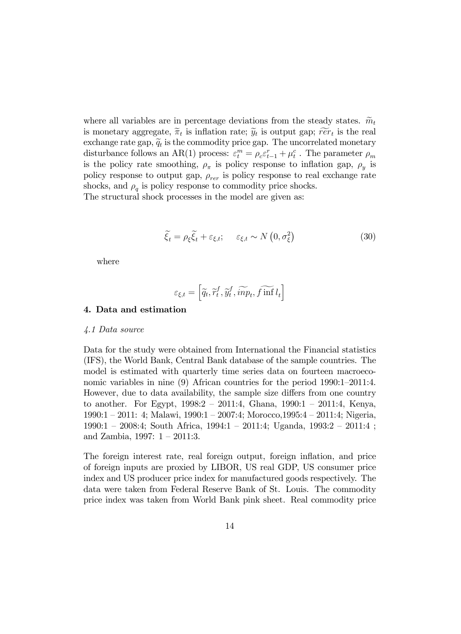where all variables are in percentage deviations from the steady states.  $\widetilde{m}_t$ is monetary aggregate,  $\widetilde{\pi}_t$  is inflation rate;  $\widetilde{y}_t$  is output gap;  $\widetilde{r}e r_t$  is the real exchange rate gap,  $\widetilde{q}_t$  is the commodity price gap. The uncorrelated monetary disturbance follows an AR(1) process:  $\varepsilon_t^m = \rho_c \varepsilon_{t-1}^r + \mu_t^c$ . The parameter  $\rho_m$ is the policy rate smoothing,  $\rho_{\pi}$  is policy response to inflation gap,  $\rho_y$  is policy response to output gap,  $\rho_{rer}$  is policy response to real exchange rate shocks, and  $\rho_q$  is policy response to commodity price shocks. The structural shock processes in the model are given as:

$$
\widetilde{\xi_t} = \rho_{\xi} \widetilde{\xi_t} + \varepsilon_{\xi, t}; \quad \varepsilon_{\xi, t} \sim N\left(0, \sigma_{\xi}^2\right) \tag{30}
$$

where

$$
\varepsilon_{\xi,t} = \left[ \widetilde{q_t}, \widetilde{r}_t^f, \widetilde{y}_t^f, \widetilde{inp}_t, \widetilde{f \text{ inf } l_t} \right]
$$

#### 4. Data and estimation

#### 4.1 Data source

Data for the study were obtained from International the Financial statistics (IFS), the World Bank, Central Bank database of the sample countries. The model is estimated with quarterly time series data on fourteen macroeconomic variables in nine  $(9)$  African countries for the period  $1990:1-2011:4$ . However, due to data availability, the sample size differs from one country to another. For Egypt,  $1998:2 - 2011:4$ , Ghana,  $1990:1 - 2011:4$ , Kenya,  $1990:1 - 2011:$  4; Malawi,  $1990:1 - 2007:4$ ; Morocco, $1995:4 - 2011:4$ ; Nigeria,  $1990:1 - 2008:4$ ; South Africa,  $1994:1 - 2011:4$ ; Uganda,  $1993:2 - 2011:4$ ; and Zambia,  $1997: 1 - 2011:3$ .

The foreign interest rate, real foreign output, foreign inflation, and price of foreign inputs are proxied by LIBOR, US real GDP, US consumer price index and US producer price index for manufactured goods respectively. The data were taken from Federal Reserve Bank of St. Louis. The commodity price index was taken from World Bank pink sheet. Real commodity price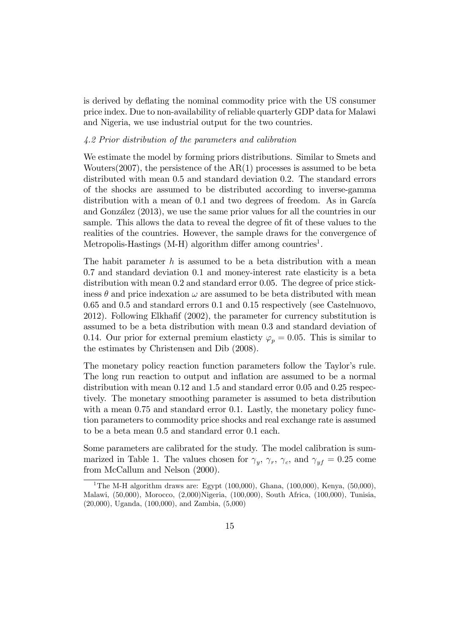is derived by deflating the nominal commodity price with the US consumer price index. Due to non-availability of reliable quarterly GDP data for Malawi and Nigeria, we use industrial output for the two countries.

## 4.2 Prior distribution of the parameters and calibration

We estimate the model by forming priors distributions. Similar to Smets and Wouters $(2007)$ , the persistence of the  $AR(1)$  processes is assumed to be beta distributed with mean 0.5 and standard deviation 0.2. The standard errors of the shocks are assumed to be distributed according to inverse-gamma distribution with a mean of 0.1 and two degrees of freedom. As in García and González (2013), we use the same prior values for all the countries in our sample. This allows the data to reveal the degree of fit of these values to the realities of the countries. However, the sample draws for the convergence of Metropolis-Hastings  $(M-H)$  algorithm differ among countries<sup>1</sup>.

The habit parameter  $h$  is assumed to be a beta distribution with a mean 0.7 and standard deviation 0.1 and money-interest rate elasticity is a beta distribution with mean 0.2 and standard error 0.05. The degree of price stickiness  $\theta$  and price indexation  $\omega$  are assumed to be beta distributed with mean 0.65 and 0.5 and standard errors 0.1 and 0.15 respectively (see Castelnuovo, 2012). Following Elkhafif  $(2002)$ , the parameter for currency substitution is assumed to be a beta distribution with mean 0.3 and standard deviation of 0.14. Our prior for external premium elasticty  $\varphi_p = 0.05$ . This is similar to the estimates by Christensen and Dib (2008).

The monetary policy reaction function parameters follow the Taylor's rule. The long run reaction to output and inflation are assumed to be a normal distribution with mean 0.12 and 1.5 and standard error 0.05 and 0.25 respectively. The monetary smoothing parameter is assumed to beta distribution with a mean 0.75 and standard error 0.1. Lastly, the monetary policy function parameters to commodity price shocks and real exchange rate is assumed to be a beta mean 0.5 and standard error 0.1 each.

Some parameters are calibrated for the study. The model calibration is summarized in Table 1. The values chosen for  $\gamma_y$ ,  $\gamma_r$ ,  $\gamma_c$ , and  $\gamma_{yf} = 0.25$  come from McCallum and Nelson (2000).

<sup>&</sup>lt;sup>1</sup>The M-H algorithm draws are: Egypt  $(100,000)$ , Ghana,  $(100,000)$ , Kenya,  $(50,000)$ , Malawi, (50,000), Morocco, (2,000)Nigeria, (100,000), South Africa, (100,000), Tunisia, (20,000), Uganda, (100,000), and Zambia, (5,000)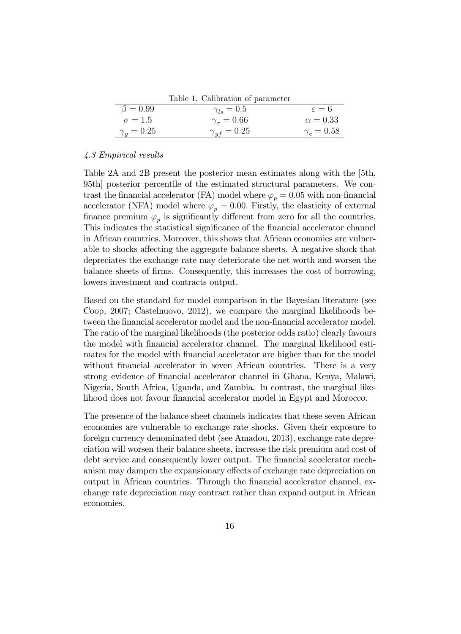Table 1. Calibration of parameter

| $\beta = 0.99$<br>$\gamma_{ls} = 0.5$<br>$\varepsilon = 6$<br>$\sigma = 1.5$<br>$\gamma_r=0.66$<br>$\alpha = 0.33$ |                   |                      |                   |
|--------------------------------------------------------------------------------------------------------------------|-------------------|----------------------|-------------------|
|                                                                                                                    |                   |                      |                   |
|                                                                                                                    |                   |                      |                   |
|                                                                                                                    | $\gamma_u = 0.25$ | $\gamma_{uf} = 0.25$ | $\gamma_c = 0.58$ |

#### 4.3 Empirical results

Table 2A and 2B present the posterior mean estimates along with the [5th, 95th] posterior percentile of the estimated structural parameters. We contrast the financial accelerator (FA) model where  $\varphi_p = 0.05$  with non-financial accelerator (NFA) model where  $\varphi_p = 0.00$ . Firstly, the elasticity of external finance premium  $\varphi_p$  is significantly different from zero for all the countries. This indicates the statistical significance of the financial accelerator channel in African countries. Moreover, this shows that African economies are vulnerable to shocks affecting the aggregate balance sheets. A negative shock that depreciates the exchange rate may deteriorate the net worth and worsen the balance sheets of Örms. Consequently, this increases the cost of borrowing, lowers investment and contracts output.

Based on the standard for model comparison in the Bayesian literature (see Coop, 2007; Castelnuovo, 2012), we compare the marginal likelihoods between the financial accelerator model and the non-financial accelerator model. The ratio of the marginal likelihoods (the posterior odds ratio) clearly favours the model with Önancial accelerator channel. The marginal likelihood estimates for the model with financial accelerator are higher than for the model without financial accelerator in seven African countries. There is a very strong evidence of Önancial accelerator channel in Ghana, Kenya, Malawi, Nigeria, South Africa, Uganda, and Zambia. In contrast, the marginal likelihood does not favour financial accelerator model in Egypt and Morocco.

The presence of the balance sheet channels indicates that these seven African economies are vulnerable to exchange rate shocks. Given their exposure to foreign currency denominated debt (see Amadou, 2013), exchange rate depreciation will worsen their balance sheets, increase the risk premium and cost of debt service and consequently lower output. The financial accelerator mechanism may dampen the expansionary effects of exchange rate depreciation on output in African countries. Through the Önancial accelerator channel, exchange rate depreciation may contract rather than expand output in African economies.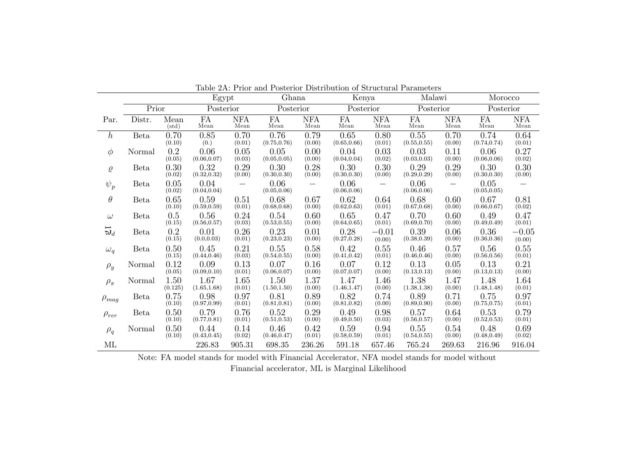|                                          | Egypt       |                   |                      |                          | Tapic 211. I Hot and I osterior Distribution of peruditural I arameters<br>Ghana |                          |                      | Kenya                    |                      | Malawi             |                      | Morocco            |  |
|------------------------------------------|-------------|-------------------|----------------------|--------------------------|----------------------------------------------------------------------------------|--------------------------|----------------------|--------------------------|----------------------|--------------------|----------------------|--------------------|--|
|                                          | Prior       |                   | Posterior            |                          | Posterior                                                                        |                          | Posterior            |                          | Posterior            |                    | Posterior            |                    |  |
| Par.                                     | Distr.      | Mean<br>(std)     | FA<br>Mean           | <b>NFA</b><br>Mean       | FA<br>Mean                                                                       | <b>NFA</b><br>Mean       | FA<br>Mean           | <b>NFA</b><br>Mean       | FA<br>Mean           | <b>NFA</b><br>Mean | <b>FA</b><br>Mean    | <b>NFA</b><br>Mean |  |
| $\hbar$                                  | <b>Beta</b> | 0.70<br>(0.10)    | 0.85<br>(0.)         | 0.70<br>(0.01)           | 0.76<br>(0.75, 0.76)                                                             | 0.79<br>(0.00)           | 0.65<br>(0.65, 0.66) | 0.80<br>(0.01)           | 0.55<br>(0.55, 0.55) | 0.70<br>(0.00)     | 0.74<br>(0.74, 0.74) | 0.64<br>(0.01)     |  |
| $\phi$                                   | Normal      | 0.2<br>(0.05)     | 0.06<br>(0.06, 0.07) | 0.05<br>(0.03)           | 0.05<br>(0.05, 0.05)                                                             | 0.00<br>(0.00)           | 0.04<br>(0.04, 0.04) | 0.03<br>(0.02)           | 0.03<br>(0.03, 0.03) | 0.11<br>(0.00)     | 0.06<br>(0.06, 0.06) | 0.27<br>(0.02)     |  |
| $\varrho$                                | <b>Beta</b> | 0.30<br>(0.02)    | 0.32<br>(0.32, 0.32) | 0.29<br>(0.00)           | 0.30<br>(0.30, 0.30)                                                             | 0.28<br>(0.00)           | 0.30<br>(0.30, 0.30) | 0.30<br>(0.00)           | 0.29<br>(0.29, 0.29) | 0.29<br>(0.00)     | 0.30<br>(0.30, 0.30) | 0.30<br>(0.00)     |  |
| $\psi_p$                                 | <b>Beta</b> | 0.05<br>(0.02)    | 0.04<br>(0.04, 0.04) | $\overline{\phantom{m}}$ | 0.06<br>(0.05, 0.06)                                                             | $\overline{\phantom{m}}$ | 0.06<br>(0.06, 0.06) | $\overline{\phantom{m}}$ | 0.06<br>(0.06, 0.06) |                    | 0.05<br>(0.05, 0.05) |                    |  |
| $\theta$                                 | <b>Beta</b> | 0.65<br>(0.10)    | 0.59<br>(0.59, 0.59) | 0.51<br>(0.01)           | 0.68<br>(0.68, 0.68)                                                             | 0.67<br>(0.00)           | 0.62<br>(0.62, 0.63) | 0.64<br>(0.01)           | 0.68<br>(0.67, 0.68) | 0.60<br>(0.00)     | 0.67<br>(0.66, 0.67) | 0.81<br>(0.02)     |  |
| $\omega$                                 | <b>Beta</b> | $0.5\,$<br>(0.15) | 0.56<br>(0.56, 0.57) | 0.24<br>(0.03)           | 0.54<br>(0.53, 0.55)                                                             | 0.60<br>(0.00)           | 0.65<br>(0.64, 0.65) | 0.47<br>(0.01)           | 0.70<br>(0.69, 0.70) | 0.60<br>(0.00)     | 0.49<br>(0.49, 0.49) | 0.47<br>(0.01)     |  |
| $\overleftrightarrow{\mathbf{\omega}}_d$ | <b>Beta</b> | 0.2<br>(0.15)     | 0.01<br>(0.0, 0.03)  | 0.26<br>(0.01)           | 0.23<br>(0.23, 0.23)                                                             | 0.01<br>(0.00)           | 0.28<br>(0.27, 0.28) | $-0.01$<br>(0.00)        | 0.39<br>(0.38, 0.39) | 0.06<br>(0.00)     | 0.36<br>(0.36, 0.36) | $-0.05$<br>(0.00)  |  |
| $\omega_q$                               | <b>Beta</b> | 0.50<br>(0.15)    | 0.45<br>(0.44, 0.46) | 0.21<br>(0.03)           | 0.55<br>(0.54, 0.55)                                                             | 0.58<br>(0.00)           | 0.42<br>(0.41, 0.42) | 0.55<br>(0.01)           | 0.46<br>(0.46, 0.46) | 0.57<br>(0.00)     | 0.56<br>(0.56, 0.56) | 0.55<br>(0.01)     |  |
| $\rho_y$                                 | Normal      | 0.12<br>(0.05)    | 0.09<br>(0.09, 0.10) | 0.13<br>(0.01)           | 0.07<br>(0.06, 0.07)                                                             | 0.16<br>(0.00)           | 0.07<br>(0.07, 0.07) | 0.12<br>(0.00)           | 0.13<br>(0.13, 0.13) | 0.05<br>(0.00)     | 0.13<br>(0.13, 0.13) | 0.21<br>(0.00)     |  |
| $\rho_{\pi}$                             | Normal      | 1.50<br>(0.125)   | 1.67<br>(1.65, 1.68) | 1.65<br>(0.01)           | 1.50<br>(1.50, 1.50)                                                             | 1.37<br>(0.00)           | 1.47<br>(1.46, 1.47) | 1.46<br>(0.00)           | 1.38<br>(1.38, 1.38) | 1.47<br>(0.00)     | 1.48<br>(1.48, 1.48) | 1.64<br>(0.01)     |  |
| $\rho_{mag}$                             | <b>Beta</b> | 0.75<br>(0.10)    | 0.98<br>(0.97, 0.99) | 0.97<br>(0.01)           | 0.81<br>(0.81, 0.81)                                                             | 0.89<br>(0.00)           | 0.82<br>(0.81, 0.82) | 0.74<br>(0.00)           | 0.89<br>(0.89, 0.90) | 0.71<br>(0.00)     | 0.75<br>(0.75, 0.75) | 0.97<br>(0.01)     |  |
| $\rho_{rer}$                             | Beta        | 0.50<br>(0.10)    | 0.79<br>(0.77, 0.81) | 0.76<br>(0.01)           | 0.52<br>(0.51, 0.53)                                                             | 0.29<br>(0.00)           | 0.49<br>(0.49, 0.50) | 0.98<br>(0.03)           | 0.57<br>(0.56, 0.57) | 0.64<br>(0.00)     | 0.53<br>(0.52, 0.53) | 0.79<br>(0.01)     |  |
| $\rho_q$                                 | Normal      | 0.50<br>(0.10)    | 0.44<br>(0.43, 0.45) | 0.14<br>(0.02)           | 0.46<br>(0.46, 0.47)                                                             | 0.42<br>(0.01)           | 0.59<br>(0.58, 0.59) | 0.94<br>(0.01)           | 0.55<br>(0.54, 0.55) | 0.54<br>(0.00)     | 0.48<br>(0.48, 0.49) | 0.69<br>(0.02)     |  |
| ML                                       |             |                   | 226.83               | 905.31                   | 698.35                                                                           | 236.26                   | 591.18               | 657.46                   | 765.24               | 269.63             | 216.96               | 916.04             |  |

Table 2A: Prior and Posterior Distribution of Structural Parameters

Note: FA model stands for model with Financial Accelerator, NFA model stands for model without Financial accelerator, ML is Marginal Likelihood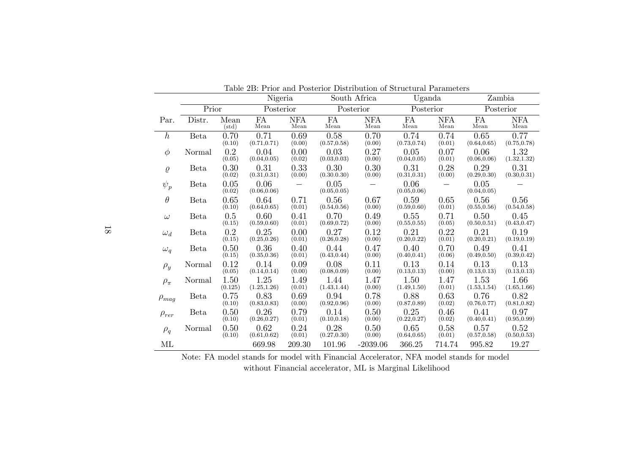|              |             | Taple 2D. I Hot and I osterior Distribution of Diructural I arameters<br>Nigeria |                      | South Africa       |                      | Uganda             |                      | Zambia             |                      |                      |
|--------------|-------------|----------------------------------------------------------------------------------|----------------------|--------------------|----------------------|--------------------|----------------------|--------------------|----------------------|----------------------|
|              | Prior       |                                                                                  | Posterior            |                    | Posterior            |                    | Posterior            |                    | Posterior            |                      |
| Par.         | Distr.      | Mean<br>(std)                                                                    | FA<br>Mean           | <b>NFA</b><br>Mean | FA<br>Mean           | <b>NFA</b><br>Mean | FA<br>Mean           | <b>NFA</b><br>Mean | <b>FA</b><br>Mean    | <b>NFA</b><br>Mean   |
| $\hbar$      | Beta        | 0.70<br>(0.10)                                                                   | 0.71<br>(0.71, 0.71) | 0.69<br>(0.00)     | 0.58<br>(0.57, 0.58) | 0.70<br>(0.00)     | 0.74<br>(0.73, 0.74) | 0.74<br>(0.01)     | 0.65<br>(0.64, 0.65) | 0.77<br>(0.75, 0.78) |
| $\phi$       | Normal      | 0.2<br>(0.05)                                                                    | 0.04<br>(0.04, 0.05) | 0.00<br>(0.02)     | 0.03<br>(0.03, 0.03) | 0.27<br>(0.00)     | 0.05<br>(0.04, 0.05) | 0.07<br>(0.01)     | 0.06<br>(0.06, 0.06) | 1.32<br>(1.32, 1.32) |
| $\varrho$    | <b>Beta</b> | 0.30<br>(0.02)                                                                   | 0.31<br>(0.31, 0.31) | 0.33<br>(0.00)     | 0.30<br>(0.30.0.30)  | 0.30<br>(0.00)     | 0.31<br>(0.31, 0.31) | 0.28<br>(0.00)     | 0.29<br>(0.29, 0.30) | 0.31<br>(0.30, 0.31) |
| $\psi_p$     | Beta        | 0.05<br>(0.02)                                                                   | 0.06<br>(0.06, 0.06) |                    | 0.05<br>(0.05, 0.05) |                    | 0.06<br>(0.05, 0.06) |                    | 0.05<br>(0.04, 0.05) |                      |
| $\theta$     | <b>Beta</b> | 0.65<br>(0.10)                                                                   | 0.64<br>(0.64, 0.65) | 0.71<br>(0.01)     | 0.56<br>(0.54, 0.56) | 0.67<br>(0.00)     | 0.59<br>(0.59, 0.60) | 0.65<br>(0.01)     | 0.56<br>(0.55, 0.56) | 0.56<br>(0.54, 0.58) |
| $\omega$     | Beta        | 0.5<br>(0.15)                                                                    | 0.60<br>(0.59, 0.60) | 0.41<br>(0.01)     | 0.70<br>(0.69, 0.72) | 0.49<br>(0.00)     | 0.55<br>(0.55, 0.55) | 0.71<br>(0.05)     | 0.50<br>(0.50, 0.51) | 0.45<br>(0.43, 0.47) |
| $\omega_d$   | <b>Beta</b> | 0.2<br>(0.15)                                                                    | 0.25<br>(0.25, 0.26) | 0.00<br>(0.01)     | 0.27<br>(0.26, 0.28) | 0.12<br>(0.00)     | 0.21<br>(0.20, 0.22) | 0.22<br>(0.01)     | 0.21<br>(0.20, 0.21) | 0.19<br>(0.19, 0.19) |
| $\omega_q$   | <b>Beta</b> | 0.50<br>(0.15)                                                                   | 0.36<br>(0.35, 0.36) | 0.40<br>(0.01)     | 0.44<br>(0.43, 0.44) | 0.47<br>(0.00)     | 0.40<br>(0.40, 0.41) | 0.70<br>(0.06)     | 0.49<br>(0.49, 0.50) | 0.41<br>(0.39, 0.42) |
| $\rho_y$     | Normal      | 0.12<br>(0.05)                                                                   | 0.14<br>(0.14, 0.14) | 0.09<br>(0.00)     | 0.08<br>(0.08, 0.09) | 0.11<br>(0.00)     | 0.13<br>(0.13, 0.13) | 0.14<br>(0.00)     | 0.13<br>(0.13, 0.13) | 0.13<br>(0.13, 0.13) |
| $\rho_{\pi}$ | Normal      | 1.50<br>(0.125)                                                                  | 1.25<br>(1.25, 1.26) | 1.49<br>(0.01)     | 1.44<br>(1.43, 1.44) | 1.47<br>(0.00)     | 1.50<br>(1.49, 1.50) | 1.47<br>(0.01)     | 1.53<br>(1.53, 1.54) | 1.66<br>(1.65, 1.66) |
| $\rho_{mag}$ | <b>Beta</b> | 0.75<br>(0.10)                                                                   | 0.83<br>(0.83, 0.83) | 0.69<br>(0.00)     | 0.94<br>(0.92, 0.96) | 0.78<br>(0.00)     | 0.88<br>(0.87, 0.89) | 0.63<br>(0.02)     | 0.76<br>(0.76, 0.77) | 0.82<br>(0.81, 0.82) |
| $\rho_{rer}$ | <b>Beta</b> | 0.50<br>(0.10)                                                                   | 0.26<br>(0.26, 0.27) | 0.79<br>(0.01)     | 0.14<br>(0.10, 0.18) | 0.50<br>(0.00)     | 0.25<br>(0.22, 0.27) | 0.46<br>(0.02)     | 0.41<br>(0.40, 0.41) | 0.97<br>(0.95, 0.99) |
| $\rho_q$     | Normal      | 0.50<br>(0.10)                                                                   | 0.62<br>(0.61, 0.62) | 0.24<br>(0.01)     | 0.28<br>(0.27, 0.30) | 0.50<br>(0.00)     | 0.65<br>(0.64, 0.65) | 0.58<br>(0.01)     | 0.57<br>(0.57, 0.58) | 0.52<br>(0.50, 0.53) |
| ML           |             |                                                                                  | 669.98               | 209.30             | 101.96               | $-2039.06$         | 366.25               | 714.74             | 995.82               | 19.27                |

Table 2B: Prior and Posterior Distribution of Structural Parameters

Note: FA model stands for model with Financial Accelerator, NFA model stands for model without Financial accelerator, ML is Marginal Likelihood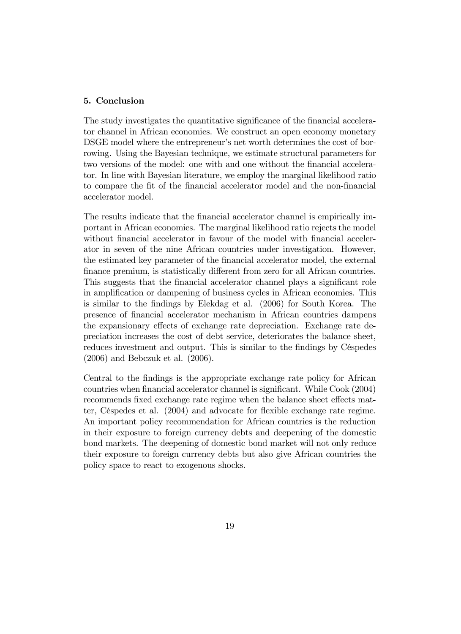## 5. Conclusion

The study investigates the quantitative significance of the financial accelerator channel in African economies. We construct an open economy monetary DSGE model where the entrepreneur's net worth determines the cost of borrowing. Using the Bayesian technique, we estimate structural parameters for two versions of the model: one with and one without the financial accelerator. In line with Bayesian literature, we employ the marginal likelihood ratio to compare the fit of the financial accelerator model and the non-financial accelerator model.

The results indicate that the financial accelerator channel is empirically important in African economies. The marginal likelihood ratio rejects the model without financial accelerator in favour of the model with financial accelerator in seven of the nine African countries under investigation. However, the estimated key parameter of the financial accelerator model, the external finance premium, is statistically different from zero for all African countries. This suggests that the financial accelerator channel plays a significant role in amplification or dampening of business cycles in African economies. This is similar to the Öndings by Elekdag et al. (2006) for South Korea. The presence of Önancial accelerator mechanism in African countries dampens the expansionary effects of exchange rate depreciation. Exchange rate depreciation increases the cost of debt service, deteriorates the balance sheet, reduces investment and output. This is similar to the findings by Céspedes (2006) and Bebczuk et al. (2006).

Central to the findings is the appropriate exchange rate policy for African countries when financial accelerator channel is significant. While Cook (2004) recommends fixed exchange rate regime when the balance sheet effects matter, Céspedes et al. (2004) and advocate for flexible exchange rate regime. An important policy recommendation for African countries is the reduction in their exposure to foreign currency debts and deepening of the domestic bond markets. The deepening of domestic bond market will not only reduce their exposure to foreign currency debts but also give African countries the policy space to react to exogenous shocks.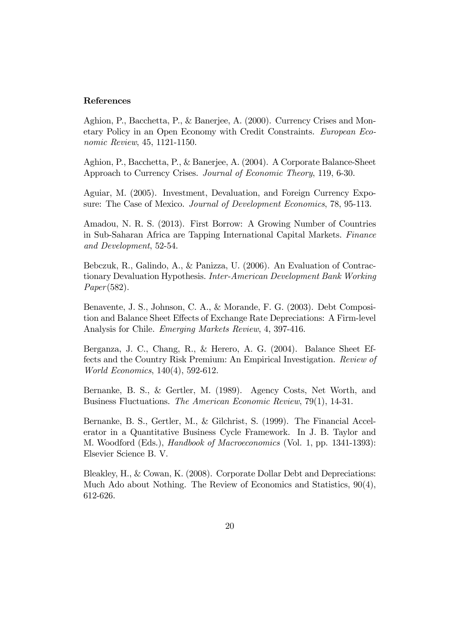#### References

Aghion, P., Bacchetta, P., & Banerjee, A. (2000). Currency Crises and Monetary Policy in an Open Economy with Credit Constraints. European Economic Review, 45, 1121-1150.

Aghion, P., Bacchetta, P., & Banerjee, A. (2004). A Corporate Balance-Sheet Approach to Currency Crises. Journal of Economic Theory, 119, 6-30.

Aguiar, M. (2005). Investment, Devaluation, and Foreign Currency Exposure: The Case of Mexico. Journal of Development Economics, 78, 95-113.

Amadou, N. R. S. (2013). First Borrow: A Growing Number of Countries in Sub-Saharan Africa are Tapping International Capital Markets. Finance and Development, 52-54.

Bebczuk, R., Galindo, A., & Panizza, U. (2006). An Evaluation of Contractionary Devaluation Hypothesis. Inter-American Development Bank Working Paper(582).

Benavente, J. S., Johnson, C. A., & Morande, F. G. (2003). Debt Composition and Balance Sheet Effects of Exchange Rate Depreciations: A Firm-level Analysis for Chile. Emerging Markets Review, 4, 397-416.

Berganza, J. C., Chang, R., & Herero, A. G. (2004). Balance Sheet Effects and the Country Risk Premium: An Empirical Investigation. Review of World Economics, 140(4), 592-612.

Bernanke, B. S., & Gertler, M. (1989). Agency Costs, Net Worth, and Business Fluctuations. The American Economic Review, 79(1), 14-31.

Bernanke, B. S., Gertler, M., & Gilchrist, S. (1999). The Financial Accelerator in a Quantitative Business Cycle Framework. In J. B. Taylor and M. Woodford (Eds.), Handbook of Macroeconomics (Vol. 1, pp. 1341-1393): Elsevier Science B. V.

Bleakley, H., & Cowan, K. (2008). Corporate Dollar Debt and Depreciations: Much Ado about Nothing. The Review of Economics and Statistics, 90(4), 612-626.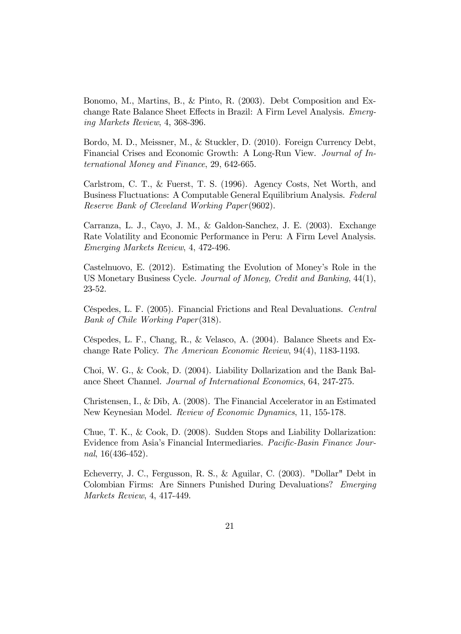Bonomo, M., Martins, B., & Pinto, R. (2003). Debt Composition and Exchange Rate Balance Sheet Effects in Brazil: A Firm Level Analysis. Emerging Markets Review, 4, 368-396.

Bordo, M. D., Meissner, M., & Stuckler, D. (2010). Foreign Currency Debt, Financial Crises and Economic Growth: A Long-Run View. Journal of International Money and Finance, 29, 642-665.

Carlstrom, C. T., & Fuerst, T. S. (1996). Agency Costs, Net Worth, and Business Fluctuations: A Computable General Equilibrium Analysis. Federal Reserve Bank of Cleveland Working Paper(9602).

Carranza, L. J., Cayo, J. M., & Galdon-Sanchez, J. E. (2003). Exchange Rate Volatility and Economic Performance in Peru: A Firm Level Analysis. Emerging Markets Review, 4, 472-496.

Castelnuovo, E. (2012). Estimating the Evolution of Money's Role in the US Monetary Business Cycle. Journal of Money, Credit and Banking, 44(1), 23-52.

CÈspedes, L. F. (2005). Financial Frictions and Real Devaluations. Central Bank of Chile Working Paper(318).

Céspedes, L. F., Chang, R., & Velasco, A. (2004). Balance Sheets and Exchange Rate Policy. The American Economic Review, 94(4), 1183-1193.

Choi, W. G., & Cook, D. (2004). Liability Dollarization and the Bank Balance Sheet Channel. Journal of International Economics, 64, 247-275.

Christensen, I., & Dib, A. (2008). The Financial Accelerator in an Estimated New Keynesian Model. Review of Economic Dynamics, 11, 155-178.

Chue, T. K., & Cook, D. (2008). Sudden Stops and Liability Dollarization: Evidence from Asia's Financial Intermediaries. Pacific-Basin Finance Journal, 16(436-452).

Echeverry, J. C., Fergusson, R. S., & Aguilar, C. (2003). "Dollar" Debt in Colombian Firms: Are Sinners Punished During Devaluations? Emerging Markets Review, 4, 417-449.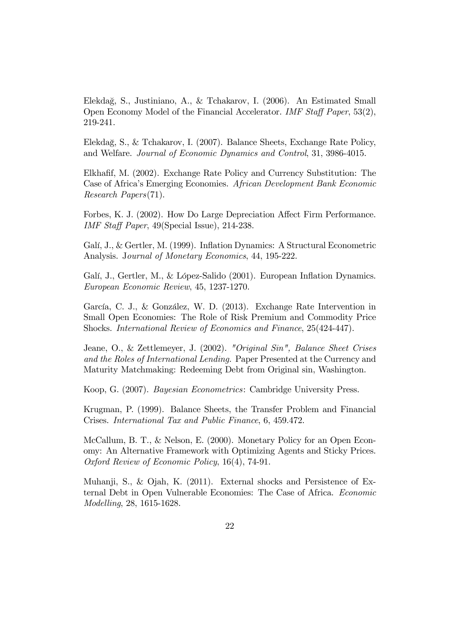Elekdağ, S., Justiniano, A., & Tchakarov, I. (2006). An Estimated Small Open Economy Model of the Financial Accelerator. IMF Staff Paper,  $53(2)$ , 219-241.

Elekdağ, S., & Tchakarov, I. (2007). Balance Sheets, Exchange Rate Policy, and Welfare. Journal of Economic Dynamics and Control, 31, 3986-4015.

Elkhafif, M. (2002). Exchange Rate Policy and Currency Substitution: The Case of Africaís Emerging Economies. African Development Bank Economic Research Papers(71).

Forbes, K. J. (2002). How Do Large Depreciation Affect Firm Performance. IMF Staff Paper,  $49$ (Special Issue), 214-238.

Galí, J., & Gertler, M. (1999). Inflation Dynamics: A Structural Econometric Analysis. Journal of Monetary Economics, 44, 195-222.

Galí, J., Gertler, M., & López-Salido (2001). European Inflation Dynamics. European Economic Review, 45, 1237-1270.

García, C. J., & González, W. D. (2013). Exchange Rate Intervention in Small Open Economies: The Role of Risk Premium and Commodity Price Shocks. International Review of Economics and Finance, 25(424-447).

Jeane, O., & Zettlemeyer, J. (2002). "Original Sin", Balance Sheet Crises and the Roles of International Lending. Paper Presented at the Currency and Maturity Matchmaking: Redeeming Debt from Original sin, Washington.

Koop, G. (2007). Bayesian Econometrics: Cambridge University Press.

Krugman, P. (1999). Balance Sheets, the Transfer Problem and Financial Crises. International Tax and Public Finance, 6, 459.472.

McCallum, B. T., & Nelson, E. (2000). Monetary Policy for an Open Economy: An Alternative Framework with Optimizing Agents and Sticky Prices. Oxford Review of Economic Policy, 16(4), 74-91.

Muhanji, S., & Ojah, K. (2011). External shocks and Persistence of External Debt in Open Vulnerable Economies: The Case of Africa. Economic Modelling, 28, 1615-1628.